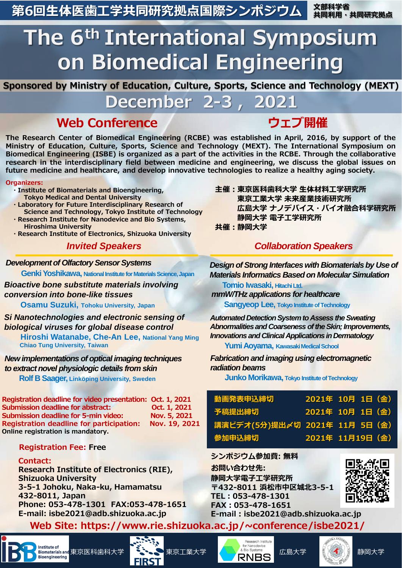**第6回生体医歯工学共同研究拠点国際シンポジウム**

**文部科学省 共同利用・共同研究拠点**

# **The 6th International Symposium on Biomedical Engineering**

**Sponsored by Ministry of Education, Culture, Sports, Science and Technology (MEXT)**

**December 2-3 , 2021**

# **Web Conference ウェブ開催**

**The Research Center of Biomedical Engineering (RCBE) was established in April, 2016, by support of the Ministry of Education, Culture, Sports, Science and Technology (MEXT). The International Symposium on** Biomedical Engineering (ISBE) is organized as a part of the activities in the RCBE. Through the collaborative **research in the interdisciplinary field between medicine and engineering, we discuss the global issues on future medicine and healthcare, and develop innovative technologies to realize a healthy aging society.**

### **Organizers:**

- **・Institute of Biomaterials and Bioengineering, Tokyo Medical and Dental University**
- **・Laboratory for Future Interdisciplinary Research of Science and Technology, Tokyo Institute of Technology**
- **・Research Institute for Nanodevice and Bio Systems, Hiroshima University**
- **・Research Institute of Electronics, Shizuoka University**

# *Invited Speakers*

*Development of Olfactory Sensor Systems*

**Genki Yoshikawa, National Institute for Materials Science, Japan** 

*Bioactive bone substitute materials involving conversion into bone-like tissues*

**Osamu Suzuki, Tohoku University, Japan**

*Si Nanotechnologies and electronic sensing of biological viruses for global disease control* **Hiroshi Watanabe, Che-An Lee, National Yang Ming Chiao Tung University, Taiwan**

*New implementations of optical imaging techniques to extract novel physiologic details from skin*

**Rolf B Saager, Linköping University, Sweden**

**Registration deadline for video presentation: Oct. 1, 2021 Submission deadline for abstract: Oct. 1, 2021**  Submission deadline for 5-min video: Nov. 5, 2021 **Registration deadline for participation: Nov. 19, 2021 Online registration is mandatory.**

# **Registration Fee: Free**

## **Contact:**

**Research Institute of Electronics (RIE), Shizuoka University 3-5-1 Johoku, Naka-ku, Hamamatsu 432-8011, Japan Phone: 053-478-1301 FAX:053-478-1651 E-mail: isbe2021@adb.shizuoka.ac.jp** 

**主催:東京医科歯科大学 生体材料工学研究所 東京工業大学 未来産業技術研究所 広島大学 ナノデバイス・バイオ融合科学研究所 静岡大学 電子工学研究所 共催:静岡大学**

# *Collaboration Speakers*

*Design of Strong Interfaces with Biomaterials by Use of Materials Informatics Based on Molecular Simulation*

**Tomio Iwasaki, Hitachi Ltd.** 

*mmW/THz applications for healthcare* 

**Sangyeop Lee, Tokyo Institute of Technology** 

*Automated Detection System to Assess the Sweating Abnormalities and Coarseness of the Skin; Improvements, Innovations and Clinical Applications in Dermatology*

**Yumi Aoyama, Kawasaki Medical School**

*Fabrication and imaging using electromagnetic radiation beams*

**Junko Morikawa, Tokyo Institute of Technology**

| <b> 動画発表申込締切</b>               |  | 2021年 10月 1日 (金) |
|--------------------------------|--|------------------|
| 予稿提出締切                         |  | 2021年 10月 1日 (金) |
| 講演ビデオ(5分)提出〆切 2021年 11月 5日 (金) |  |                  |
| 参加申込締切                         |  | 2021年 11月19日 (金) |

**シンポジウム参加費: 無料**

**お問い合わせ先: 静岡大学電子工学研究所 〒432-8011 浜松市中区城北3-5-1 TEL:053-478-1301 FAX:053-478-1651 E-mail : isbe2021@adb.shizuoka.ac.jp**



**Web Site: https://www.rie.shizuoka.ac.jp/~conference/isbe2021/**



misulus of 東京医科歯科大学 こちらの 東京工業大学 COMER A Blog Systems 広島大学 (COMER ) 静岡大学 ) 静岡大学 **FIRST**